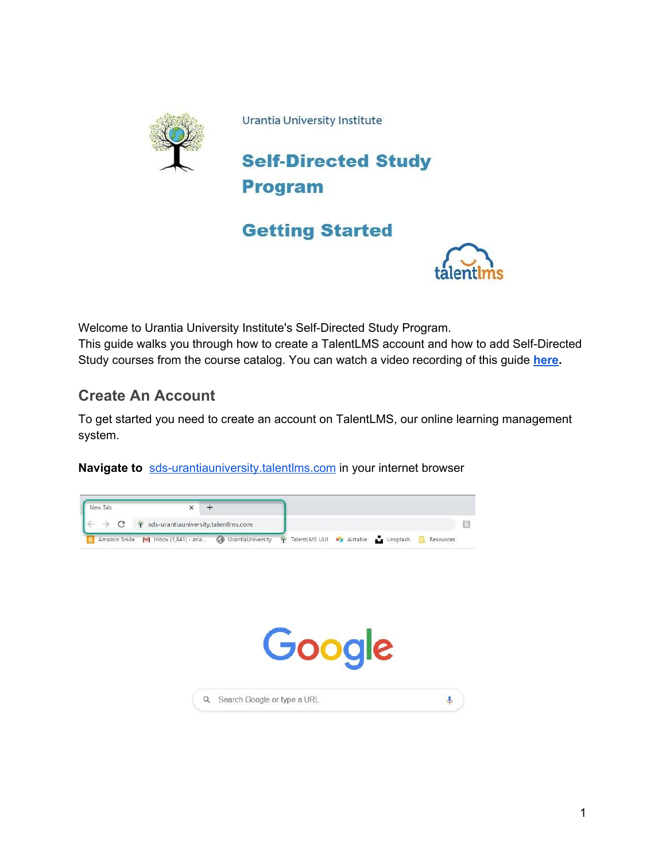

Urantia University Institute



# **Getting Started**



Welcome to Urantia University Institute's Self-Directed Study Program. This guide walks you through how to create a TalentLMS account and how to add Self-Directed Study courses from the course catalog. You can watch a video recording of this guide **[here.](https://vimeo.com/469844089)**

### **Create An Account**

To get started you need to create an account on TalentLMS, our online learning management system.

**Navigate to** [sds-urantiauniversity.talentlms.com](https://sds-urantiauniversity.talentlms.com/) in your internet browser

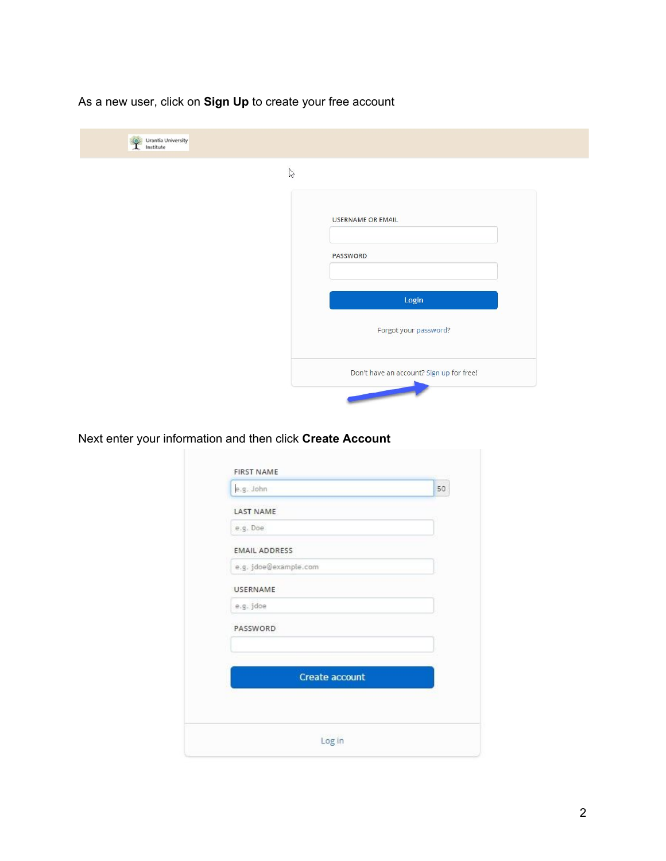As a new user, click on **Sign Up** to create your free account

| $\mathbb{Z}$ |                                          |
|--------------|------------------------------------------|
|              | <b>USERNAME OR EMAIL</b>                 |
|              | PASSWORD                                 |
|              | Login                                    |
|              | Forgot your password?                    |
|              | Don't have an account? Sign up for free! |

Next enter your information and then click **Create Account**

| e.g. John             | 50 |
|-----------------------|----|
| <b>LAST NAME</b>      |    |
| e.g. Doe              |    |
| <b>EMAIL ADDRESS</b>  |    |
| e.g. jdoe@example.com |    |
| <b>USERNAME</b>       |    |
| e.g. jdoe             |    |
| PASSWORD              |    |
|                       |    |
|                       |    |
| Create account        |    |
|                       |    |
|                       |    |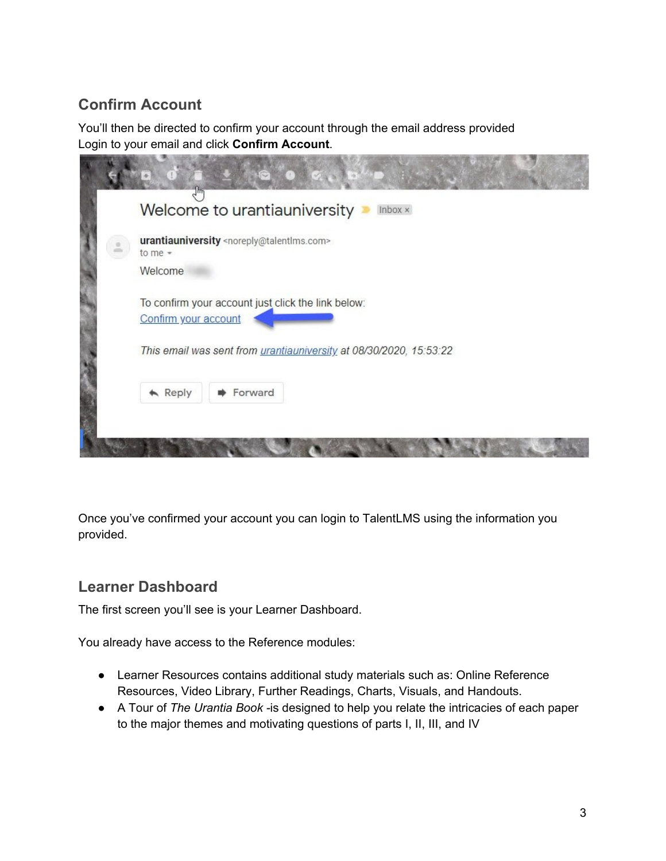# **Confirm Account**

You'll then be directed to confirm your account through the email address provided Login to your email and click **Confirm Account**.

|                        | Welcome to urantiauniversity                                      | Inbox x                                                            |
|------------------------|-------------------------------------------------------------------|--------------------------------------------------------------------|
| to me $-$              | urantiauniversity <noreply@talentlms.com></noreply@talentlms.com> |                                                                    |
| Welcome                |                                                                   |                                                                    |
| Confirm your account   |                                                                   | To confirm your account just click the link below:                 |
|                        |                                                                   | This email was sent from urantiauniversity at 08/30/2020, 15:53:22 |
| $\blacktriangle$ Reply | Forward                                                           |                                                                    |

Once you've confirmed your account you can login to TalentLMS using the information you provided.

### **Learner Dashboard**

The first screen you'll see is your Learner Dashboard.

You already have access to the Reference modules:

- Learner Resources contains additional study materials such as: Online Reference Resources, Video Library, Further Readings, Charts, Visuals, and Handouts.
- A Tour of *The Urantia Book -*is designed to help you relate the intricacies of each paper to the major themes and motivating questions of parts I, II, III, and IV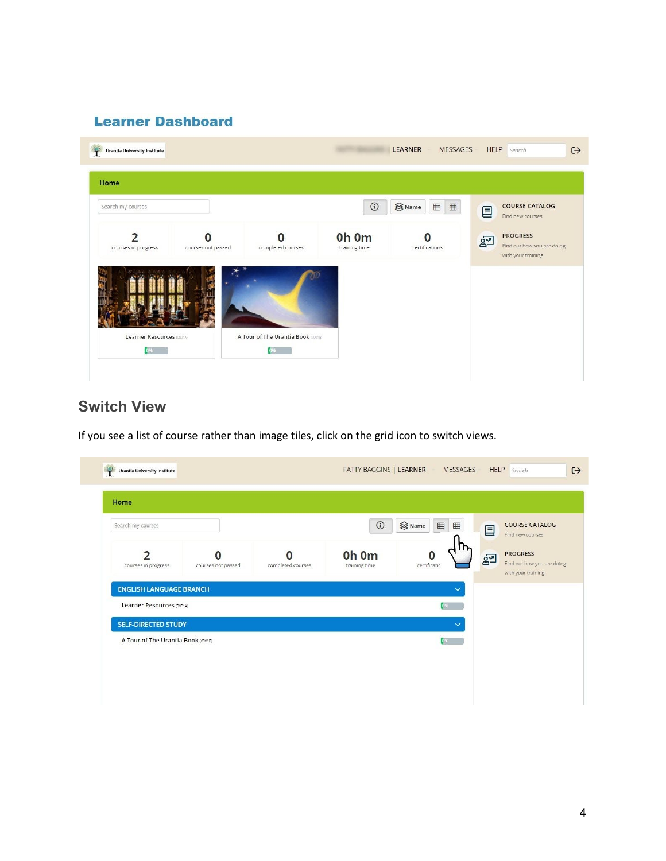#### **Learner Dashboard**

| Home                |                    |                   |               |                                                    |       |                                               |
|---------------------|--------------------|-------------------|---------------|----------------------------------------------------|-------|-----------------------------------------------|
| Search my courses   |                    |                   | $\odot$       | $\bigotimes$ Name<br>$\qquad \qquad \boxplus$<br>⊞ | 目     | <b>COURSE CATALOG</b><br>Find new courses     |
| າ                   |                    |                   | Oh Om         | certifications                                     | $g^2$ | <b>PROGRESS</b><br>Find out how you are doing |
| courses in progress | courses not passed | completed courses | training time |                                                    |       | with your training                            |
|                     |                    |                   |               |                                                    |       |                                               |
|                     |                    |                   |               |                                                    |       |                                               |

## **Switch View**

If you see a list of course rather than image tiles, click on the grid icon to switch views.

| Search my courses                  |                    |                   | $\odot$                | S Name<br>$\boxplus$<br>$\boxplus$ | 目              | <b>COURSE CATALOG</b>                                                                   |
|------------------------------------|--------------------|-------------------|------------------------|------------------------------------|----------------|-----------------------------------------------------------------------------------------|
| っ<br>courses in progress           | courses not passed | completed courses | Oh Om<br>training time | O<br>certificatic                  | 2 <sup>o</sup> | Find new courses<br><b>PROGRESS</b><br>Find out how you are doing<br>with your training |
| <b>ENGLISH LANGUAGE BRANCH</b>     |                    |                   |                        | $\checkmark$                       |                |                                                                                         |
| Learner Resources (0001A)          |                    |                   |                        | 0%                                 |                |                                                                                         |
| <b>SELF-DIRECTED STUDY</b>         |                    |                   |                        | $\checkmark$                       |                |                                                                                         |
| A Tour of The Urantia Book (00018) |                    |                   |                        | 0%                                 |                |                                                                                         |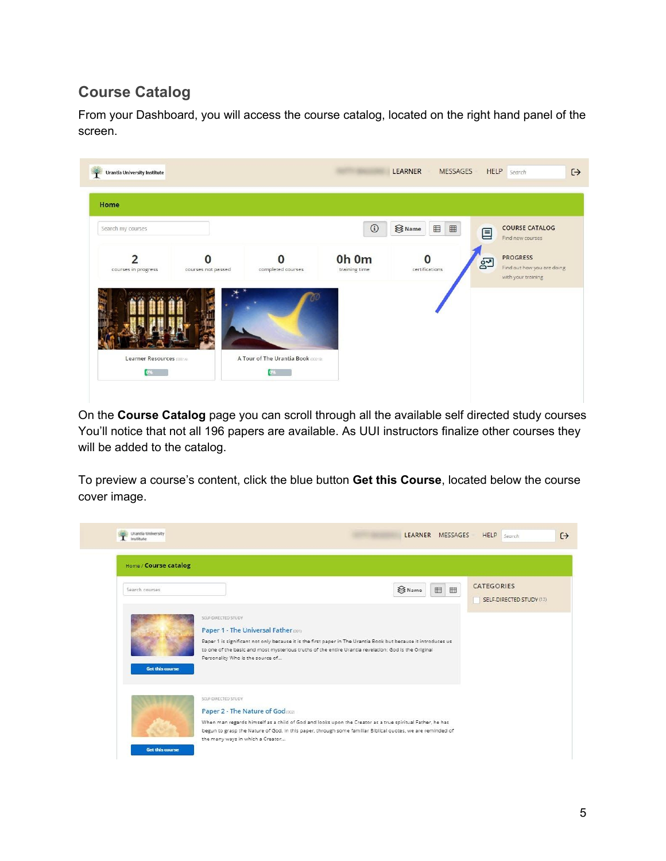# **Course Catalog**

From your Dashboard, you will access the course catalog, located on the right hand panel of the screen.



On the **Course Catalog** page you can scroll through all the available self directed study courses You'll notice that not all 196 papers are available. As UUI instructors finalize other courses they will be added to the catalog.

To preview a course's content, click the blue button **Get this Course**, located below the course cover image.

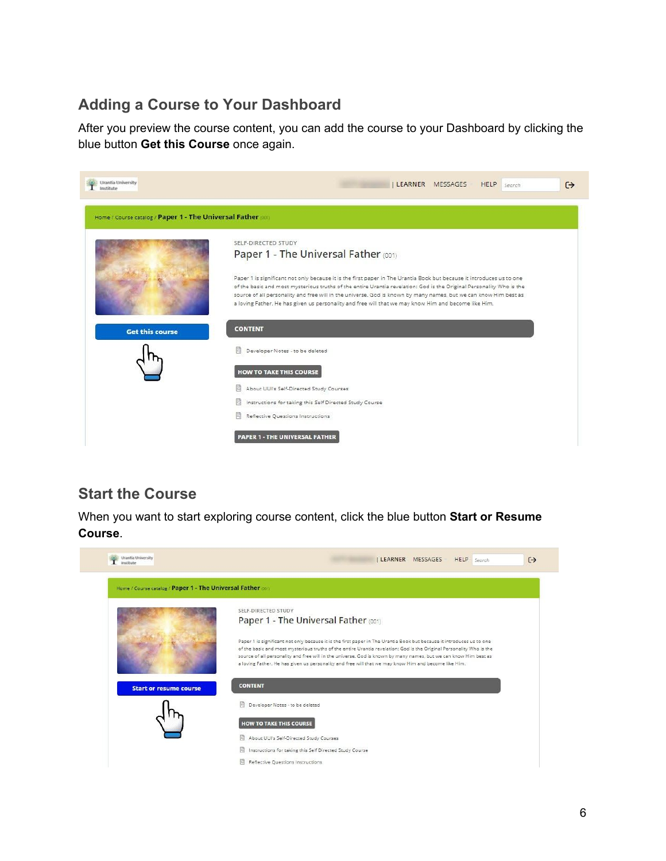## **Adding a Course to Your Dashboard**

After you preview the course content, you can add the course to your Dashboard by clicking the blue button **Get this Course** once again.

| rantša University<br>Institute                              | LEARNER MESSAGES HELP<br>$\leftrightarrow$<br>Search                                                                                                                                                                                     |
|-------------------------------------------------------------|------------------------------------------------------------------------------------------------------------------------------------------------------------------------------------------------------------------------------------------|
| Home / Course catalog / Paper 1 - The Universal Father (00) |                                                                                                                                                                                                                                          |
|                                                             | SELF-DIRECTED STUDY                                                                                                                                                                                                                      |
|                                                             | Paper 1 - The Universal Father (001)                                                                                                                                                                                                     |
|                                                             | Paper 1 is significant not only because it is the first paper in The Urantia Book but because it introduces us to one                                                                                                                    |
|                                                             | of the basic and most mysterious truths of the entire Urantia revelation: God is the Original Personality Who is the<br>source of all personality and free will in the universe. God is known by many names, but we can know Him best as |
|                                                             | a loving Father. He has given us personality and free will that we may know Him and become like Him.                                                                                                                                     |
| <b>Get this course</b>                                      | <b>CONTENT</b>                                                                                                                                                                                                                           |
|                                                             | 圖<br>Developer Notes - to be deleted                                                                                                                                                                                                     |
|                                                             | <b>HOW TO TAKE THIS COURSE</b>                                                                                                                                                                                                           |
|                                                             | About UUI's Self-Directed Study Courses                                                                                                                                                                                                  |
|                                                             | 閰<br>Instructions for taking this Self Directed Study Course                                                                                                                                                                             |
|                                                             | 髙<br>Reflective Questions Instructions                                                                                                                                                                                                   |
|                                                             | <b>PAPER 1 - THE UNIVERSAL FATHER</b>                                                                                                                                                                                                    |

#### **Start the Course**

When you want to start exploring course content, click the blue button **Start or Resume Course**.